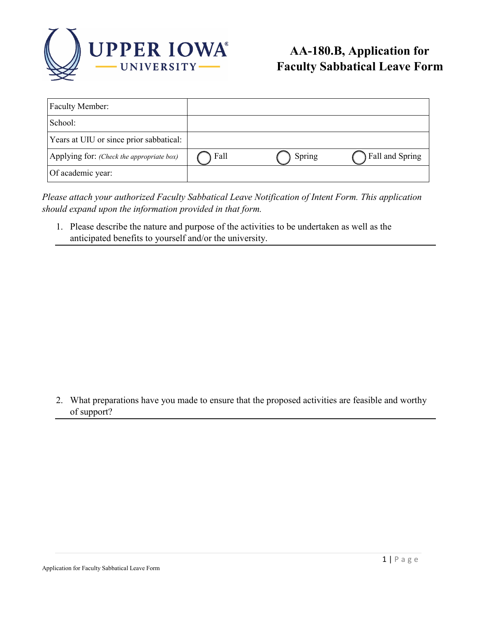

| Faculty Member:                           |      |        |                 |
|-------------------------------------------|------|--------|-----------------|
| School:                                   |      |        |                 |
| Years at UIU or since prior sabbatical:   |      |        |                 |
| Applying for: (Check the appropriate box) | Fall | Spring | Fall and Spring |
| Of academic year:                         |      |        |                 |

*Please attach your authorized Faculty Sabbatical Leave Notification of Intent Form. This application should expand upon the information provided in that form.* 

1. Please describe the nature and purpose of the activities to be undertaken as well as the anticipated benefits to yourself and/or the university.

2. What preparations have you made to ensure that the proposed activities are feasible and worthy of support?